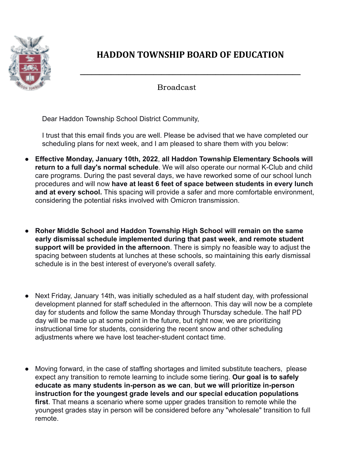

## **HADDON TOWNSHIP BOARD OF EDUCATION**

**\_\_\_\_\_\_\_\_\_\_\_\_\_\_\_\_\_\_\_\_\_\_\_\_\_\_\_\_\_\_\_\_\_\_\_\_\_\_\_\_\_\_\_\_\_\_\_\_\_\_\_\_\_\_\_\_\_**

Broadcast

Dear Haddon Township School District Community,

I trust that this email finds you are well. Please be advised that we have completed our scheduling plans for next week, and I am pleased to share them with you below:

- **Effective Monday, January 10th, 2022**, **all Haddon Township Elementary Schools will return to a full day's normal schedule**. We will also operate our normal K-Club and child care programs. During the past several days, we have reworked some of our school lunch procedures and will now **have at least 6 feet of space between students in every lunch and at every school.** This spacing will provide a safer and more comfortable environment, considering the potential risks involved with Omicron transmission.
- **Roher Middle School and Haddon Township High School will remain on the same early dismissal schedule implemented during that past week**, **and remote student support will be provided in the afternoon**. There is simply no feasible way to adjust the spacing between students at lunches at these schools, so maintaining this early dismissal schedule is in the best interest of everyone's overall safety.
- Next Friday, January 14th, was initially scheduled as a half student day, with professional development planned for staff scheduled in the afternoon. This day will now be a complete day for students and follow the same Monday through Thursday schedule. The half PD day will be made up at some point in the future, but right now, we are prioritizing instructional time for students, considering the recent snow and other scheduling adjustments where we have lost teacher-student contact time.
- Moving forward, in the case of staffing shortages and limited substitute teachers, please expect any transition to remote learning to include some tiering. **Our goal is to safely educate as many students in-person as we can**, **but we will prioritize in-person instruction for the youngest grade levels and our special education populations first**. That means a scenario where some upper grades transition to remote while the youngest grades stay in person will be considered before any "wholesale" transition to full remote.